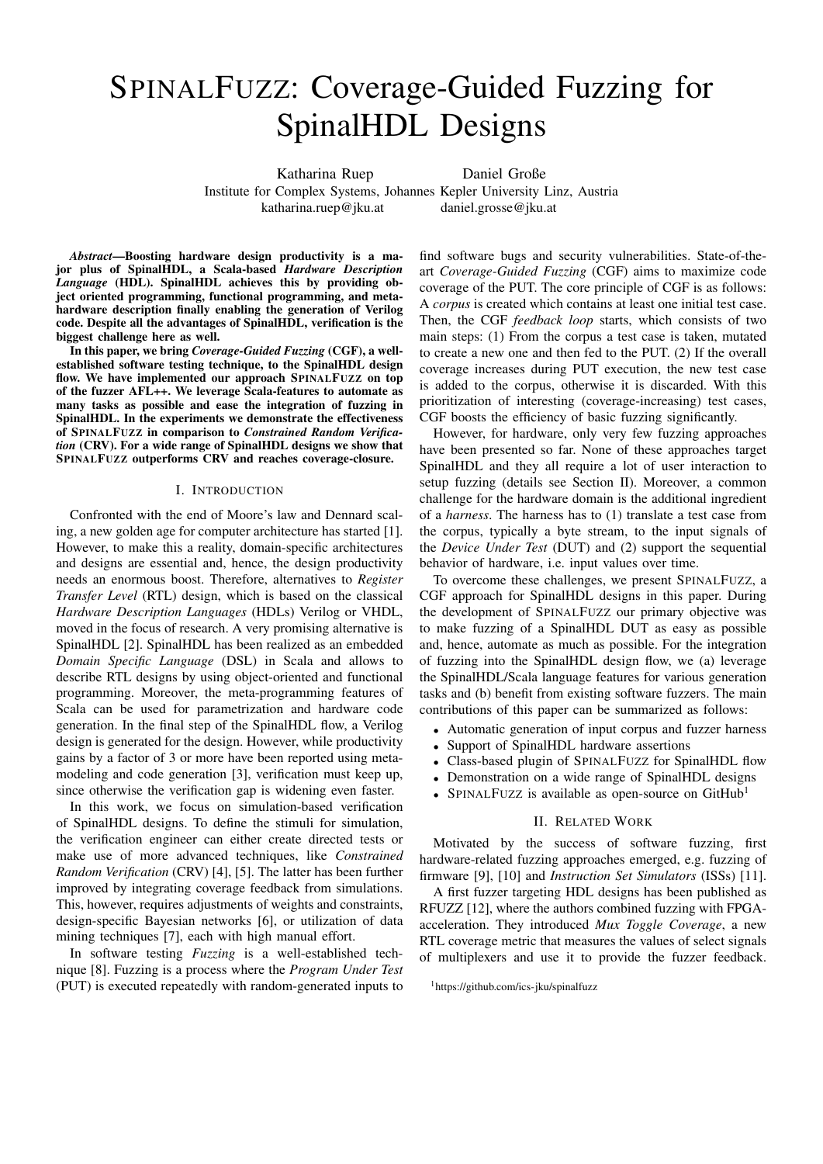# SPINALFUZZ: Coverage-Guided Fuzzing for SpinalHDL Designs

Katharina Ruep Daniel Große

Institute for Complex Systems, Johannes Kepler University Linz, Austria katharina.ruep@jku.at daniel.grosse@jku.at

*Abstract*—Boosting hardware design productivity is a major plus of SpinalHDL, a Scala-based *Hardware Description Language* (HDL). SpinalHDL achieves this by providing object oriented programming, functional programming, and metahardware description finally enabling the generation of Verilog code. Despite all the advantages of SpinalHDL, verification is the biggest challenge here as well.

In this paper, we bring *Coverage-Guided Fuzzing* (CGF), a wellestablished software testing technique, to the SpinalHDL design flow. We have implemented our approach SPINALFUZZ on top of the fuzzer AFL++. We leverage Scala-features to automate as many tasks as possible and ease the integration of fuzzing in SpinalHDL. In the experiments we demonstrate the effectiveness of SPINALFUZZ in comparison to *Constrained Random Verification* (CRV). For a wide range of SpinalHDL designs we show that SPINALFUZZ outperforms CRV and reaches coverage-closure.

### I. INTRODUCTION

Confronted with the end of Moore's law and Dennard scaling, a new golden age for computer architecture has started [1]. However, to make this a reality, domain-specific architectures and designs are essential and, hence, the design productivity needs an enormous boost. Therefore, alternatives to *Register Transfer Level* (RTL) design, which is based on the classical *Hardware Description Languages* (HDLs) Verilog or VHDL, moved in the focus of research. A very promising alternative is SpinalHDL [2]. SpinalHDL has been realized as an embedded *Domain Specific Language* (DSL) in Scala and allows to describe RTL designs by using object-oriented and functional programming. Moreover, the meta-programming features of Scala can be used for parametrization and hardware code generation. In the final step of the SpinalHDL flow, a Verilog design is generated for the design. However, while productivity gains by a factor of 3 or more have been reported using metamodeling and code generation [3], verification must keep up, since otherwise the verification gap is widening even faster.

In this work, we focus on simulation-based verification of SpinalHDL designs. To define the stimuli for simulation, the verification engineer can either create directed tests or make use of more advanced techniques, like *Constrained Random Verification* (CRV) [4], [5]. The latter has been further improved by integrating coverage feedback from simulations. This, however, requires adjustments of weights and constraints, design-specific Bayesian networks [6], or utilization of data mining techniques [7], each with high manual effort.

In software testing *Fuzzing* is a well-established technique [8]. Fuzzing is a process where the *Program Under Test* (PUT) is executed repeatedly with random-generated inputs to

find software bugs and security vulnerabilities. State-of-theart *Coverage-Guided Fuzzing* (CGF) aims to maximize code coverage of the PUT. The core principle of CGF is as follows: A *corpus* is created which contains at least one initial test case. Then, the CGF *feedback loop* starts, which consists of two main steps: (1) From the corpus a test case is taken, mutated to create a new one and then fed to the PUT. (2) If the overall coverage increases during PUT execution, the new test case is added to the corpus, otherwise it is discarded. With this prioritization of interesting (coverage-increasing) test cases, CGF boosts the efficiency of basic fuzzing significantly.

However, for hardware, only very few fuzzing approaches have been presented so far. None of these approaches target SpinalHDL and they all require a lot of user interaction to setup fuzzing (details see Section II). Moreover, a common challenge for the hardware domain is the additional ingredient of a *harness*. The harness has to (1) translate a test case from the corpus, typically a byte stream, to the input signals of the *Device Under Test* (DUT) and (2) support the sequential behavior of hardware, i.e. input values over time.

To overcome these challenges, we present SPINALFUZZ, a CGF approach for SpinalHDL designs in this paper. During the development of SPINALFUZZ our primary objective was to make fuzzing of a SpinalHDL DUT as easy as possible and, hence, automate as much as possible. For the integration of fuzzing into the SpinalHDL design flow, we (a) leverage the SpinalHDL/Scala language features for various generation tasks and (b) benefit from existing software fuzzers. The main contributions of this paper can be summarized as follows:

- Automatic generation of input corpus and fuzzer harness
- Support of SpinalHDL hardware assertions
- Class-based plugin of SPINALFUZZ for SpinalHDL flow
- Demonstration on a wide range of SpinalHDL designs
- SPINALFUZZ is available as open-source on GitHub<sup>1</sup>

### II. RELATED WORK

Motivated by the success of software fuzzing, first hardware-related fuzzing approaches emerged, e.g. fuzzing of firmware [9], [10] and *Instruction Set Simulators* (ISSs) [11].

A first fuzzer targeting HDL designs has been published as RFUZZ [12], where the authors combined fuzzing with FPGAacceleration. They introduced *Mux Toggle Coverage*, a new RTL coverage metric that measures the values of select signals of multiplexers and use it to provide the fuzzer feedback.

<sup>1</sup>https://github.com/ics-jku/spinalfuzz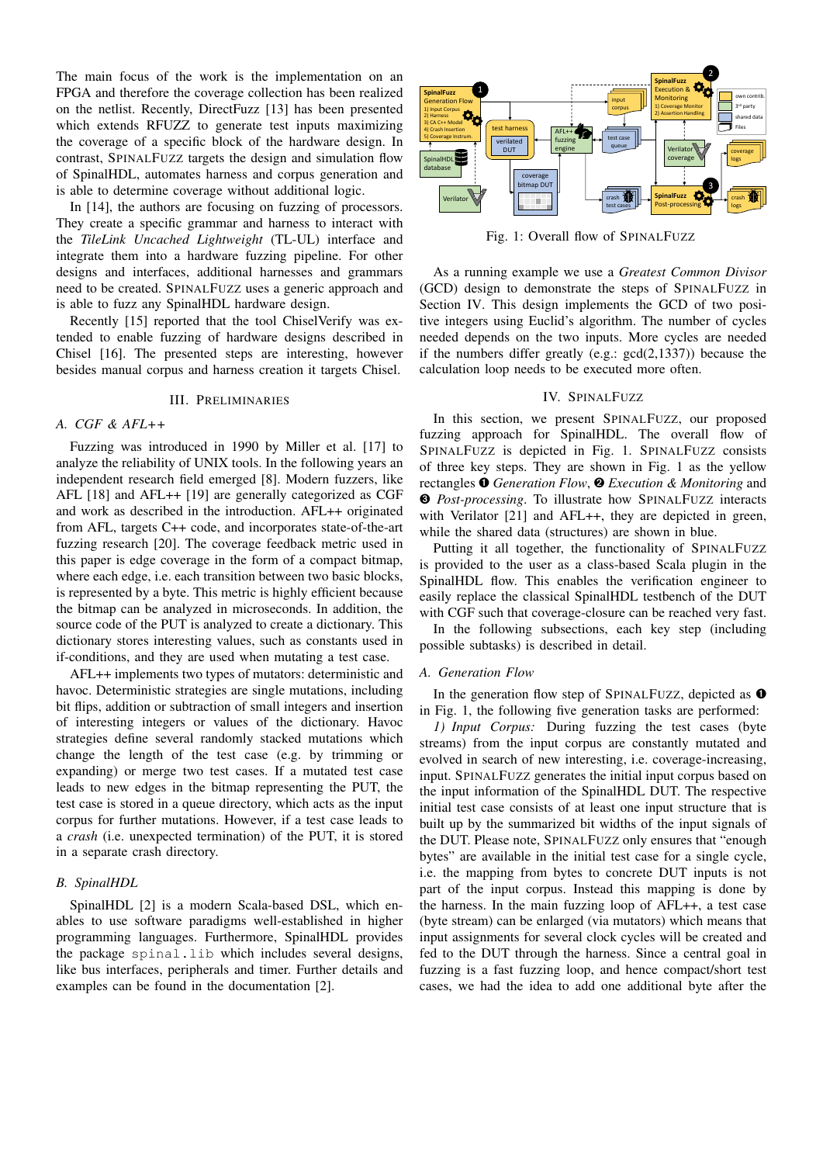The main focus of the work is the implementation on an FPGA and therefore the coverage collection has been realized on the netlist. Recently, DirectFuzz [13] has been presented which extends RFUZZ to generate test inputs maximizing the coverage of a specific block of the hardware design. In contrast, SPINALFUZZ targets the design and simulation flow of SpinalHDL, automates harness and corpus generation and is able to determine coverage without additional logic.

In [14], the authors are focusing on fuzzing of processors. They create a specific grammar and harness to interact with the *TileLink Uncached Lightweight* (TL-UL) interface and integrate them into a hardware fuzzing pipeline. For other designs and interfaces, additional harnesses and grammars need to be created. SPINALFUZZ uses a generic approach and is able to fuzz any SpinalHDL hardware design.

Recently [15] reported that the tool ChiselVerify was extended to enable fuzzing of hardware designs described in Chisel [16]. The presented steps are interesting, however besides manual corpus and harness creation it targets Chisel.

## III. PRELIMINARIES

## *A. CGF & AFL++*

Fuzzing was introduced in 1990 by Miller et al. [17] to analyze the reliability of UNIX tools. In the following years an independent research field emerged [8]. Modern fuzzers, like AFL [18] and AFL++ [19] are generally categorized as CGF and work as described in the introduction. AFL++ originated from AFL, targets C++ code, and incorporates state-of-the-art fuzzing research [20]. The coverage feedback metric used in this paper is edge coverage in the form of a compact bitmap, where each edge, i.e. each transition between two basic blocks, is represented by a byte. This metric is highly efficient because the bitmap can be analyzed in microseconds. In addition, the source code of the PUT is analyzed to create a dictionary. This dictionary stores interesting values, such as constants used in if-conditions, and they are used when mutating a test case.

AFL++ implements two types of mutators: deterministic and havoc. Deterministic strategies are single mutations, including bit flips, addition or subtraction of small integers and insertion of interesting integers or values of the dictionary. Havoc strategies define several randomly stacked mutations which change the length of the test case (e.g. by trimming or expanding) or merge two test cases. If a mutated test case leads to new edges in the bitmap representing the PUT, the test case is stored in a queue directory, which acts as the input corpus for further mutations. However, if a test case leads to a *crash* (i.e. unexpected termination) of the PUT, it is stored in a separate crash directory.

## *B. SpinalHDL*

SpinalHDL [2] is a modern Scala-based DSL, which enables to use software paradigms well-established in higher programming languages. Furthermore, SpinalHDL provides the package spinal.lib which includes several designs, like bus interfaces, peripherals and timer. Further details and examples can be found in the documentation [2].



Fig. 1: Overall flow of SPINALFUZZ

As a running example we use a *Greatest Common Divisor* (GCD) design to demonstrate the steps of SPINALFUZZ in Section IV. This design implements the GCD of two positive integers using Euclid's algorithm. The number of cycles needed depends on the two inputs. More cycles are needed if the numbers differ greatly (e.g.: gcd(2,1337)) because the calculation loop needs to be executed more often.

## IV. SPINALFUZZ

In this section, we present SPINALFUZZ, our proposed fuzzing approach for SpinalHDL. The overall flow of SPINALFUZZ is depicted in Fig. 1. SPINALFUZZ consists of three key steps. They are shown in Fig. 1 as the yellow rectangles ➊ *Generation Flow*, ➋ *Execution & Monitoring* and ➌ *Post-processing*. To illustrate how SPINALFUZZ interacts with Verilator [21] and AFL++, they are depicted in green, while the shared data (structures) are shown in blue.

Putting it all together, the functionality of SPINALFUZZ is provided to the user as a class-based Scala plugin in the SpinalHDL flow. This enables the verification engineer to easily replace the classical SpinalHDL testbench of the DUT with CGF such that coverage-closure can be reached very fast.

In the following subsections, each key step (including possible subtasks) is described in detail.

#### *A. Generation Flow*

In the generation flow step of SPINALFUZZ, depicted as  $\bullet$ in Fig. 1, the following five generation tasks are performed:

*1) Input Corpus:* During fuzzing the test cases (byte streams) from the input corpus are constantly mutated and evolved in search of new interesting, i.e. coverage-increasing, input. SPINALFUZZ generates the initial input corpus based on the input information of the SpinalHDL DUT. The respective initial test case consists of at least one input structure that is built up by the summarized bit widths of the input signals of the DUT. Please note, SPINALFUZZ only ensures that "enough bytes" are available in the initial test case for a single cycle, i.e. the mapping from bytes to concrete DUT inputs is not part of the input corpus. Instead this mapping is done by the harness. In the main fuzzing loop of AFL++, a test case (byte stream) can be enlarged (via mutators) which means that input assignments for several clock cycles will be created and fed to the DUT through the harness. Since a central goal in fuzzing is a fast fuzzing loop, and hence compact/short test cases, we had the idea to add one additional byte after the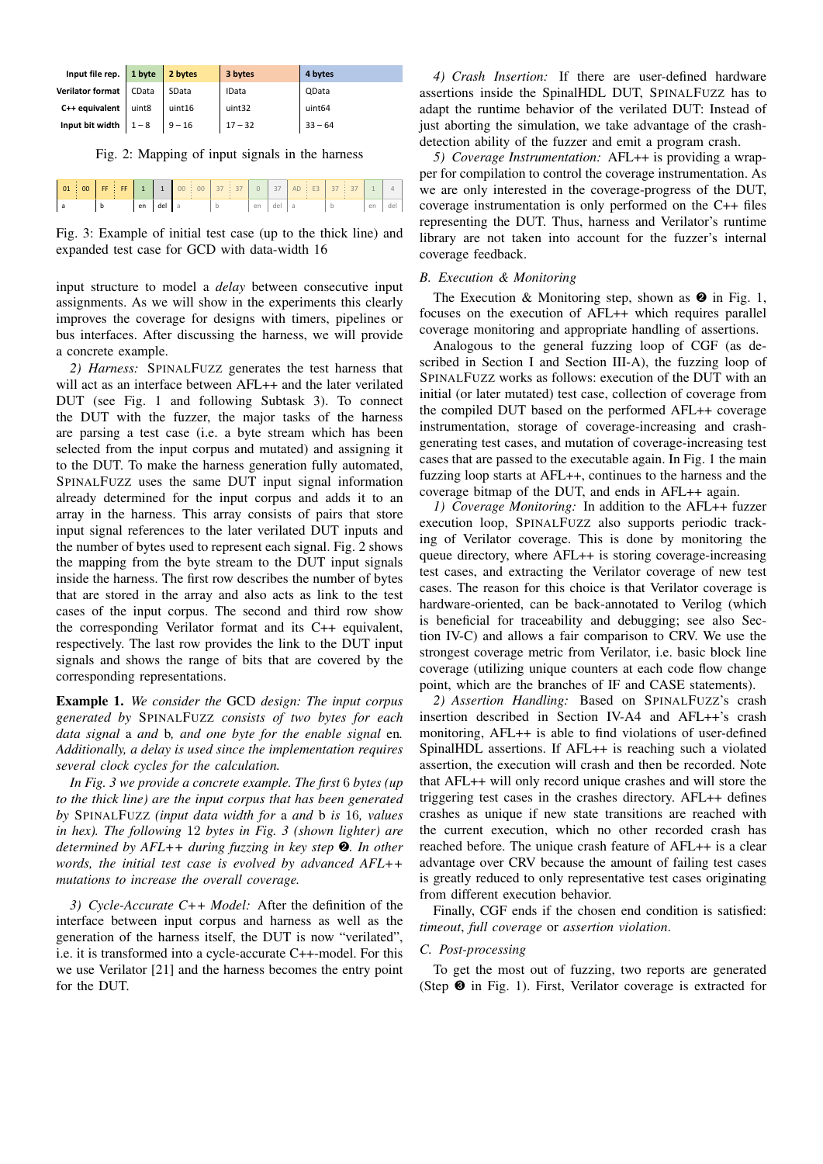| Input file rep.   1 byte   2 bytes |       |          | 3 bytes      | 4 bytes      |  |  |
|------------------------------------|-------|----------|--------------|--------------|--|--|
| Verilator format                   | CData | SData    | <b>IData</b> | <b>QData</b> |  |  |
| $C++$ equivalent                   | uint8 | uint16   | uint32       | uint64       |  |  |
| Input bit width $1 - 8$            |       | $9 - 16$ | $17 - 32$    | $33 - 64$    |  |  |

Fig. 2: Mapping of input signals in the harness

|  |  |    |     | 01 00 FF FF 1 1 00 0 37 37 |    | 37 | $AD \div E3$ 37 |    |  |
|--|--|----|-----|----------------------------|----|----|-----------------|----|--|
|  |  | en | del |                            | en |    |                 | en |  |

Fig. 3: Example of initial test case (up to the thick line) and expanded test case for GCD with data-width 16

input structure to model a *delay* between consecutive input assignments. As we will show in the experiments this clearly improves the coverage for designs with timers, pipelines or bus interfaces. After discussing the harness, we will provide a concrete example.

*2) Harness:* SPINALFUZZ generates the test harness that will act as an interface between AFL++ and the later verilated DUT (see Fig. 1 and following Subtask 3). To connect the DUT with the fuzzer, the major tasks of the harness are parsing a test case (i.e. a byte stream which has been selected from the input corpus and mutated) and assigning it to the DUT. To make the harness generation fully automated, SPINALFUZZ uses the same DUT input signal information already determined for the input corpus and adds it to an array in the harness. This array consists of pairs that store input signal references to the later verilated DUT inputs and the number of bytes used to represent each signal. Fig. 2 shows the mapping from the byte stream to the DUT input signals inside the harness. The first row describes the number of bytes that are stored in the array and also acts as link to the test cases of the input corpus. The second and third row show the corresponding Verilator format and its C++ equivalent, respectively. The last row provides the link to the DUT input signals and shows the range of bits that are covered by the corresponding representations.

Example 1. *We consider the* GCD *design: The input corpus generated by* SPINALFUZZ *consists of two bytes for each data signal* a *and* b*, and one byte for the enable signal* en*. Additionally, a delay is used since the implementation requires several clock cycles for the calculation.*

*In Fig. 3 we provide a concrete example. The first* 6 *bytes (up to the thick line) are the input corpus that has been generated by* SPINALFUZZ *(input data width for* a *and* b *is* 16*, values in hex). The following* 12 *bytes in Fig. 3 (shown lighter) are determined by AFL++ during fuzzing in key step* ➋*. In other words, the initial test case is evolved by advanced AFL++ mutations to increase the overall coverage.*

*3) Cycle-Accurate C++ Model:* After the definition of the interface between input corpus and harness as well as the generation of the harness itself, the DUT is now "verilated", i.e. it is transformed into a cycle-accurate C++-model. For this we use Verilator [21] and the harness becomes the entry point for the DUT.

*4) Crash Insertion:* If there are user-defined hardware assertions inside the SpinalHDL DUT, SPINALFUZZ has to adapt the runtime behavior of the verilated DUT: Instead of just aborting the simulation, we take advantage of the crashdetection ability of the fuzzer and emit a program crash.

*5) Coverage Instrumentation:* AFL++ is providing a wrapper for compilation to control the coverage instrumentation. As we are only interested in the coverage-progress of the DUT, coverage instrumentation is only performed on the C++ files representing the DUT. Thus, harness and Verilator's runtime library are not taken into account for the fuzzer's internal coverage feedback.

## *B. Execution & Monitoring*

The Execution & Monitoring step, shown as  $\bullet$  in Fig. 1, focuses on the execution of AFL++ which requires parallel coverage monitoring and appropriate handling of assertions.

Analogous to the general fuzzing loop of CGF (as described in Section I and Section III-A), the fuzzing loop of SPINALFUZZ works as follows: execution of the DUT with an initial (or later mutated) test case, collection of coverage from the compiled DUT based on the performed AFL++ coverage instrumentation, storage of coverage-increasing and crashgenerating test cases, and mutation of coverage-increasing test cases that are passed to the executable again. In Fig. 1 the main fuzzing loop starts at AFL++, continues to the harness and the coverage bitmap of the DUT, and ends in AFL++ again.

*1) Coverage Monitoring:* In addition to the AFL++ fuzzer execution loop, SPINALFUZZ also supports periodic tracking of Verilator coverage. This is done by monitoring the queue directory, where AFL++ is storing coverage-increasing test cases, and extracting the Verilator coverage of new test cases. The reason for this choice is that Verilator coverage is hardware-oriented, can be back-annotated to Verilog (which is beneficial for traceability and debugging; see also Section IV-C) and allows a fair comparison to CRV. We use the strongest coverage metric from Verilator, i.e. basic block line coverage (utilizing unique counters at each code flow change point, which are the branches of IF and CASE statements).

*2) Assertion Handling:* Based on SPINALFUZZ's crash insertion described in Section IV-A4 and AFL++'s crash monitoring, AFL++ is able to find violations of user-defined SpinalHDL assertions. If AFL++ is reaching such a violated assertion, the execution will crash and then be recorded. Note that AFL++ will only record unique crashes and will store the triggering test cases in the crashes directory. AFL++ defines crashes as unique if new state transitions are reached with the current execution, which no other recorded crash has reached before. The unique crash feature of AFL++ is a clear advantage over CRV because the amount of failing test cases is greatly reduced to only representative test cases originating from different execution behavior.

Finally, CGF ends if the chosen end condition is satisfied: *timeout*, *full coverage* or *assertion violation*.

## *C. Post-processing*

To get the most out of fuzzing, two reports are generated (Step ➌ in Fig. 1). First, Verilator coverage is extracted for